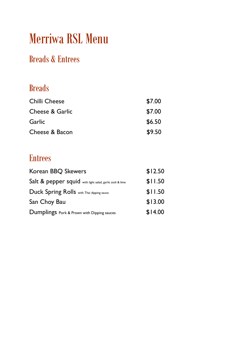# Merriwa RSL Menu

## Breads & Entrees

#### Breads

| Chilli Cheese              | \$7.00 |
|----------------------------|--------|
| <b>Cheese &amp; Garlic</b> | \$7.00 |
| Garlic                     | \$6.50 |
| Cheese & Bacon             | \$9.50 |

#### Entrees

| Korean BBQ Skewers                                        | \$12.50 |
|-----------------------------------------------------------|---------|
| Salt & pepper squid with light salad, garlic aioli & lime | \$11.50 |
| Duck Spring Rolls with Thai dipping sauce                 | \$11.50 |
| San Choy Bau                                              | \$13.00 |
| Dumplings Pork & Prawn with Dipping sauces                | \$14.00 |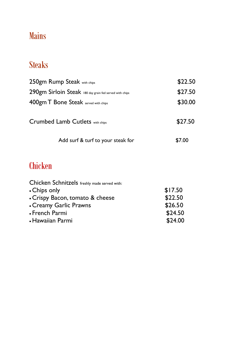# Mains

## Steaks

| 250gm Rump Steak with chips                             | \$22.50 |
|---------------------------------------------------------|---------|
| 290gm Sirloin Steak 180 day grain fed served with chips | \$27.50 |
| 400gm T Bone Steak served with chips                    | \$30.00 |
| Crumbed Lamb Cutlets with chips                         | \$27.50 |
| Add surf & turf to your steak for                       | \$7.00  |

# **Chicken**

| Chicken Schnitzels freshly made served with: |         |
|----------------------------------------------|---------|
| • Chips only                                 | \$17.50 |
| • Crispy Bacon, tomato & cheese              | \$22.50 |
| • Creamy Garlic Prawns                       | \$26.50 |
| • French Parmi                               | \$24.50 |
| • Hawaiian Parmi                             | \$24.00 |